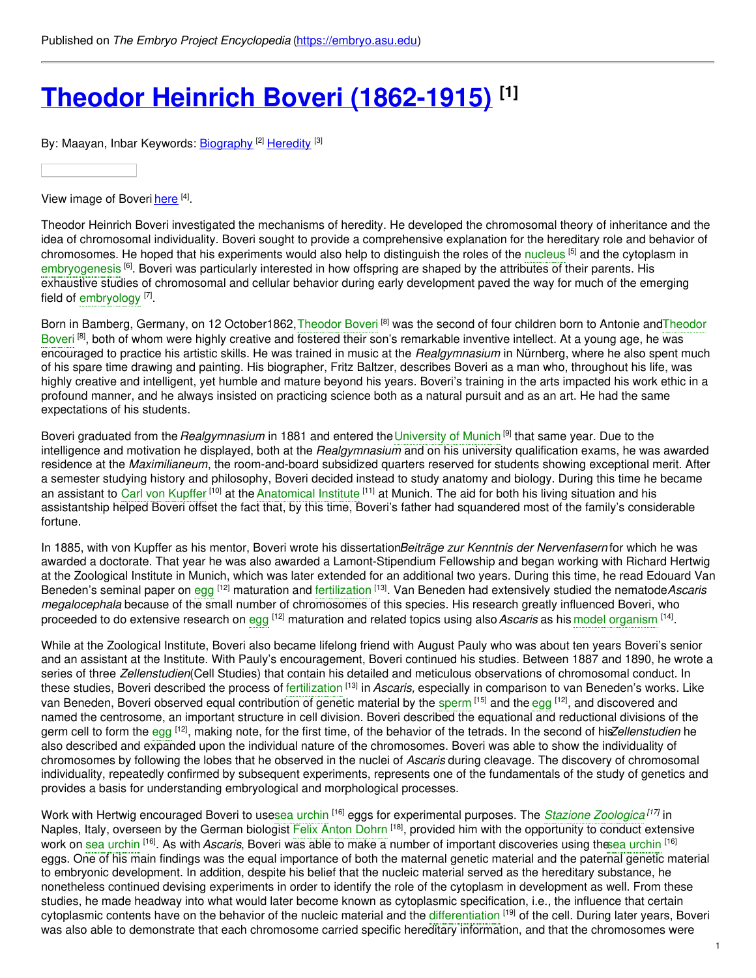# **Theodor Heinrich Boveri [\(1862-1915\)](https://embryo.asu.edu/pages/theodor-heinrich-boveri-1862-1915) [1]**

By: Maayan, Inbar Keywords: <u>[Biography](https://embryo.asu.edu/keywords/biography) [2] [Heredity](https://embryo.asu.edu/keywords/heredity)</u> [3]

View image of Boveri [here](http://embryo.asu.edu/imageviewer.php?image=embryo:202120) [4].

Theodor Heinrich Boveri investigated the mechanisms of heredity. He developed the chromosomal theory of inheritance and the idea of chromosomal individuality. Boveri sought to provide a comprehensive explanation for the hereditary role and behavior of chromosomes. He hoped that his experiments would also help to distinguish the roles of the [nucleus](https://embryo.asu.edu/search?text=nucleus) <sup>[5]</sup> and the cytoplasm in [embryogenesis](https://embryo.asu.edu/search?text=embryogenesis) <sup>[6]</sup>. Boveri was particularly interested in how offspring are shaped by the attributes of their parents. His exhaustive studies of chromosomal and cellular behavior during early development paved the way for much of the emerging field of [embryology](https://embryo.asu.edu/search?text=embryology)<sup>[7]</sup>.

Born in Bamberg, Germany, on 12 October1862, Theodor Boveri<sup>[8]</sup> was the second of four children born to Antonie andTheodor Boveri<sup>[8]</sup>, both of whom were highly creative and fostered their son's remarkable inventive intellect. At a young age, he was encouraged to practice his artistic skills. He was trained in music at the *Realgymnasium* in Nürnberg, where he also spent much of his spare time drawing and painting. His biographer, Fritz Baltzer, describes Boveri as a man who, throughout his life, was highly creative and intelligent, yet humble and mature beyond his years. Boveri's training in the arts impacted his work ethic in a profound manner, and he always insisted on practicing science both as a natural pursuit and as an art. He had the same expectations of his students.

Boveri graduated from the *Realgymnasium* in 1881 and entered the [University](https://embryo.asu.edu/search?text=University%20of%20Munich) of Munich<sup>[9]</sup> that same year. Due to the intelligence and motivation he displayed, both at the *Realgymnasium* and on his university qualification exams, he was awarded residence at the *Maximilianeum*, the room-and-board subsidized quarters reserved for students showing exceptional merit. After a semester studying history and philosophy, Boveri decided instead to study anatomy and biology. During this time he became an assistant to Carl von [Kupffer](https://embryo.asu.edu/search?text=Carl%20von%20Kupffer) <sup>[10]</sup> at the [Anatomical](https://embryo.asu.edu/search?text=Anatomical%20Institute) Institute <sup>[11]</sup> at Munich. The aid for both his living situation and his assistantship helped Boveri offset the fact that, by this time, Boveri's father had squandered most of the family's considerable fortune.

In 1885, with von Kupffer as his mentor, Boveri wrote his dissertation*Beiträge zur Kenntnis der Nervenfasern* for which he was awarded a doctorate. That year he was also awarded a Lamont-Stipendium Fellowship and began working with Richard Hertwig at the Zoological Institute in Munich, which was later extended for an additional two years. During this time, he read Edouard Van Beneden's seminal paper on [egg](https://embryo.asu.edu/search?text=egg) <sup>[12]</sup> maturation and [fertilization](https://embryo.asu.edu/search?text=fertilization) <sup>[13]</sup>. Van Beneden had extensively studied the nematode Ascaris *megalocephala* because of the small number of chromosomes of this species. His research greatly influenced Boveri, who proceeded to do extensive research on [egg](https://embryo.asu.edu/search?text=egg) <sup>[12]</sup> maturation and related topics using also*Ascaris* as his model [organism](https://embryo.asu.edu/search?text=model%20organism) <sup>[14]</sup>.

While at the Zoological Institute, Boveri also became lifelong friend with August Pauly who was about ten years Boveri's senior and an assistant at the Institute. With Pauly's encouragement, Boveri continued his studies. Between 1887 and 1890, he wrote a series of three *Zellenstudien*(Cell Studies) that contain his detailed and meticulous observations of chromosomal conduct. In these studies, Boveri described the process of [fertilization](https://embryo.asu.edu/search?text=fertilization) <sup>[13]</sup> in *Ascaris,* especially in comparison to van Beneden's works. Like van Beneden, Boveri observed equal contribution of genetic material by the [sperm](https://embryo.asu.edu/search?text=sperm) [15] and the [egg](https://embryo.asu.edu/search?text=egg) [12], and discovered and named the centrosome, an important structure in cell division. Boveri described the equational and reductional divisions of the germ cell to form the [egg](https://embryo.asu.edu/search?text=egg) <sup>[12]</sup>, making note, for the first time, of the behavior of the tetrads. In the second of his*Zellenstudien* he also described and expanded upon the individual nature of the chromosomes. Boveri was able to show the individuality of chromosomes by following the lobes that he observed in the nuclei of *Ascaris* during cleavage. The discovery of chromosomal individuality, repeatedly confirmed by subsequent experiments, represents one of the fundamentals of the study of genetics and provides a basis for understanding embryological and morphological processes.

Work with Hertwig encouraged Boveri to usesea [urchin](https://embryo.asu.edu/search?text=sea%20urchin) <sup>[16]</sup> eggs for experimental purposes. The *Stazione [Zoologica](https://embryo.asu.edu/search?text=Stazione%20Zoologica)* <sup>[17]</sup> in Naples, Italy, overseen by the German biologist Felix Anton [Dohrn](https://embryo.asu.edu/search?text=Felix%20Anton%20Dohrn) <sup>[18]</sup>, provided him with the opportunity to conduct extensive work on sea [urchin](https://embryo.asu.edu/search?text=sea%20urchin) <sup>[16]</sup>. As with *Ascaris*, Boveri was able to make a number of important discoveries using th<del>eea</del> urchin <sup>[16]</sup> eggs. One of his main findings was the equal importance of both the maternal genetic material and the paternal genetic material to embryonic development. In addition, despite his belief that the nucleic material served as the hereditary substance, he nonetheless continued devising experiments in order to identify the role of the cytoplasm in development as well. From these studies, he made headway into what would later become known as cytoplasmic specification, i.e., the influence that certain cytoplasmic contents have on the behavior of the nucleic material and the [differentiation](https://embryo.asu.edu/search?text=differentiation) <sup>[19]</sup> of the cell. During later years, Boveri was also able to demonstrate that each chromosome carried specific hereditary information, and that the chromosomes were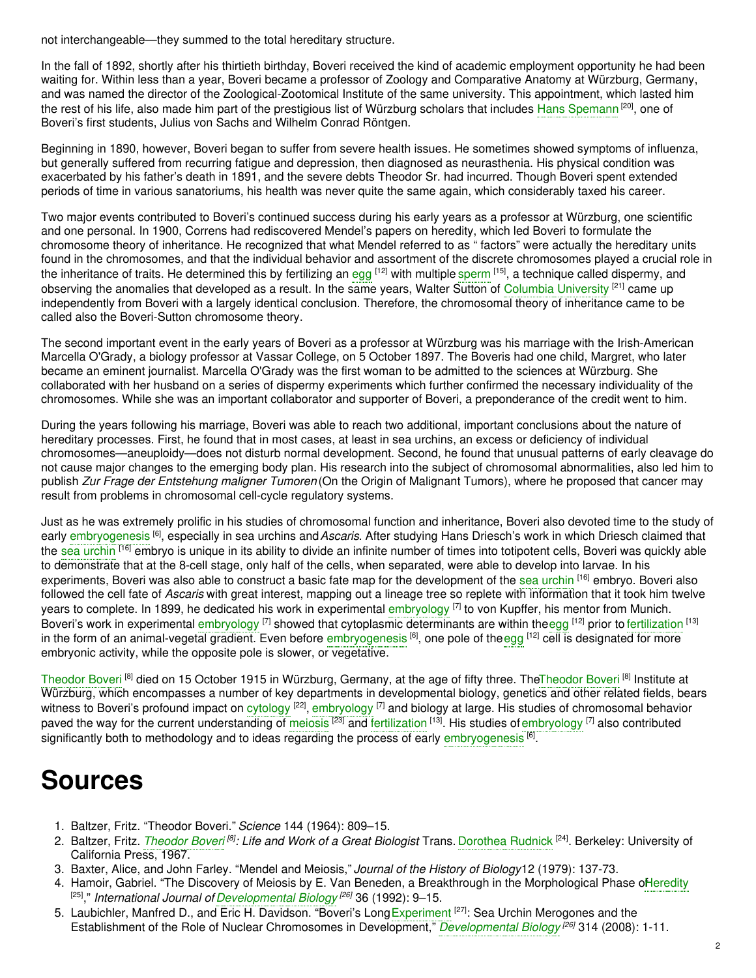not interchangeable—they summed to the total hereditary structure.

In the fall of 1892, shortly after his thirtieth birthday, Boveri received the kind of academic employment opportunity he had been waiting for. Within less than a year, Boveri became a professor of Zoology and Comparative Anatomy at Würzburg, Germany, and was named the director of the Zoological-Zootomical Institute of the same university. This appointment, which lasted him the rest of his life, also made him part of the prestigious list of Würzburg scholars that includes Hans [Spemann](https://embryo.asu.edu/search?text=Hans%20Spemann)<sup>[20]</sup>, one of Boveri's first students, Julius von Sachs and Wilhelm Conrad Röntgen.

Beginning in 1890, however, Boveri began to suffer from severe health issues. He sometimes showed symptoms of influenza, but generally suffered from recurring fatigue and depression, then diagnosed as neurasthenia. His physical condition was exacerbated by his father's death in 1891, and the severe debts Theodor Sr. had incurred. Though Boveri spent extended periods of time in various sanatoriums, his health was never quite the same again, which considerably taxed his career.

Two major events contributed to Boveri's continued success during his early years as a professor at Würzburg, one scientific and one personal. In 1900, Correns had rediscovered Mendel's papers on heredity, which led Boveri to formulate the chromosome theory of inheritance. He recognized that what Mendel referred to as " factors" were actually the hereditary units found in the chromosomes, and that the individual behavior and assortment of the discrete chromosomes played a crucial role in the inheritance of traits. He determined this by fertilizing an [egg](https://embryo.asu.edu/search?text=egg) <sup>[12]</sup> with multiple [sperm](https://embryo.asu.edu/search?text=sperm) <sup>[15]</sup>, a technique called dispermy, and observing the anomalies that developed as a result. In the same years, Walter Sutton of Columbia [University](https://embryo.asu.edu/search?text=Columbia%20University) <sup>[21]</sup> came up independently from Boveri with a largely identical conclusion. Therefore, the chromosomal theory of inheritance came to be called also the Boveri-Sutton chromosome theory.

The second important event in the early years of Boveri as a professor at Würzburg was his marriage with the Irish-American Marcella O'Grady, a biology professor at Vassar College, on 5 October 1897. The Boveris had one child, Margret, who later became an eminent journalist. Marcella O'Grady was the first woman to be admitted to the sciences at Würzburg. She collaborated with her husband on a series of dispermy experiments which further confirmed the necessary individuality of the chromosomes. While she was an important collaborator and supporter of Boveri, a preponderance of the credit went to him.

During the years following his marriage, Boveri was able to reach two additional, important conclusions about the nature of hereditary processes. First, he found that in most cases, at least in sea urchins, an excess or deficiency of individual chromosomes—aneuploidy—does not disturb normal development. Second, he found that unusual patterns of early cleavage do not cause major changes to the emerging body plan. His research into the subject of chromosomal abnormalities, also led him to publish *Zur Frage der Entstehung maligner Tumoren* (On the Origin of Malignant Tumors), where he proposed that cancer may result from problems in chromosomal cell-cycle regulatory systems.

Just as he was extremely prolific in his studies of chromosomal function and inheritance, Boveri also devoted time to the study of early [embryogenesis](https://embryo.asu.edu/search?text=embryogenesis) [6] , especially in sea urchins and*Ascaris*. After studying Hans Driesch's work in which Driesch claimed that the sea [urchin](https://embryo.asu.edu/search?text=sea%20urchin) <sup>[16]</sup> embryo is unique in its ability to divide an infinite number of times into totipotent cells, Boveri was quickly able to demonstrate that at the 8-cell stage, only half of the cells, when separated, were able to develop into larvae. In his experiments, Boveri was also able to construct a basic fate map for the development of the sea [urchin](https://embryo.asu.edu/search?text=sea%20urchin) <sup>[16]</sup> embryo. Boveri also followed the cell fate of *Ascaris* with great interest, mapping out a lineage tree so replete with information that it took him twelve years to complete. In 1899, he dedicated his work in experimental [embryology](https://embryo.asu.edu/search?text=embryology) <sup>[7]</sup> to von Kupffer, his mentor from Munich. Boveri's work in experimental [embryology](https://embryo.asu.edu/search?text=embryology) <sup>[7]</sup> showed that cytoplasmic determinants are within the[egg](https://embryo.asu.edu/search?text=egg) <sup>[12]</sup> prior to [fertilization](https://embryo.asu.edu/search?text=fertilization) <sup>[13]</sup> in the form of an animal-vegetal gradient. Even before [embryogenesis](https://embryo.asu.edu/search?text=embryogenesis) <sup>[6]</sup>, one pole of the[egg](https://embryo.asu.edu/search?text=egg) <sup>[12]</sup> cell is designated for more embryonic activity, while the opposite pole is slower, or vegetative.

[Theodor](https://embryo.asu.edu/search?text=Theodor%20Boveri) Boveri <sup>[8]</sup> died on 15 October 1915 in Würzburg, Germany, at the age of fifty three. Th[eTheodor](https://embryo.asu.edu/search?text=Theodor%20Boveri) Boveri <sup>[8]</sup> Institute at Würzburg, which encompasses a number of key departments in developmental biology, genetics and other related fields, bears witness to Boveri's profound impact on [cytology](https://embryo.asu.edu/search?text=cytology) <sup>[22]</sup>, [embryology](https://embryo.asu.edu/search?text=embryology) <sup>[7]</sup> and biology at large. His studies of chromosomal behavior paved the way for the current understanding of [meiosis](https://embryo.asu.edu/search?text=meiosis) <sup>[23]</sup> and [fertilization](https://embryo.asu.edu/search?text=fertilization) <sup>[13]</sup>. His studies of [embryology](https://embryo.asu.edu/search?text=embryology) <sup>[7]</sup> also contributed significantly both to methodology and to ideas regarding the process of early [embryogenesis](https://embryo.asu.edu/search?text=embryogenesis) <sup>[6]</sup>.

## **Sources**

- 1. Baltzer, Fritz. "Theodor Boveri." *Science* 144 (1964): 809–15.
- 2. Baltzer, Fritz. *[Theodor](https://embryo.asu.edu/search?text=Theodor%20Boveri) Boveri [8] : Life and Work of a Great Biologist*. Trans. [Dorothea](https://embryo.asu.edu/search?text=Dorothea%20Rudnick) Rudnick [24] . Berkeley: University of California Press, 1967.
- 3. Baxter, Alice, and John Farley. "Mendel and Meiosis," *Journal of the History of Biology*12 (1979): 137-73.
- 4. Hamoir, Gabriel. "The Discovery of Meiosis by E. Van Beneden, a Breakthrough in the Morphological Phase oH[eredity](https://embryo.asu.edu/search?text=Heredity) [25] ," *International Journal of [Developmental](https://embryo.asu.edu/search?text=Developmental%20Biology) Biology [26]* 36 (1992): 9–15.
- 5. Laubichler, Manfred D., and Eric H. Davidson. "Boveri's Long Experiment <sup>[27]</sup>: Sea Urchin Merogones and the Establishment of the Role of Nuclear Chromosomes in Development," *[Developmental](https://embryo.asu.edu/search?text=Developmental%20Biology) Biology [26]* 314 (2008): 1-11.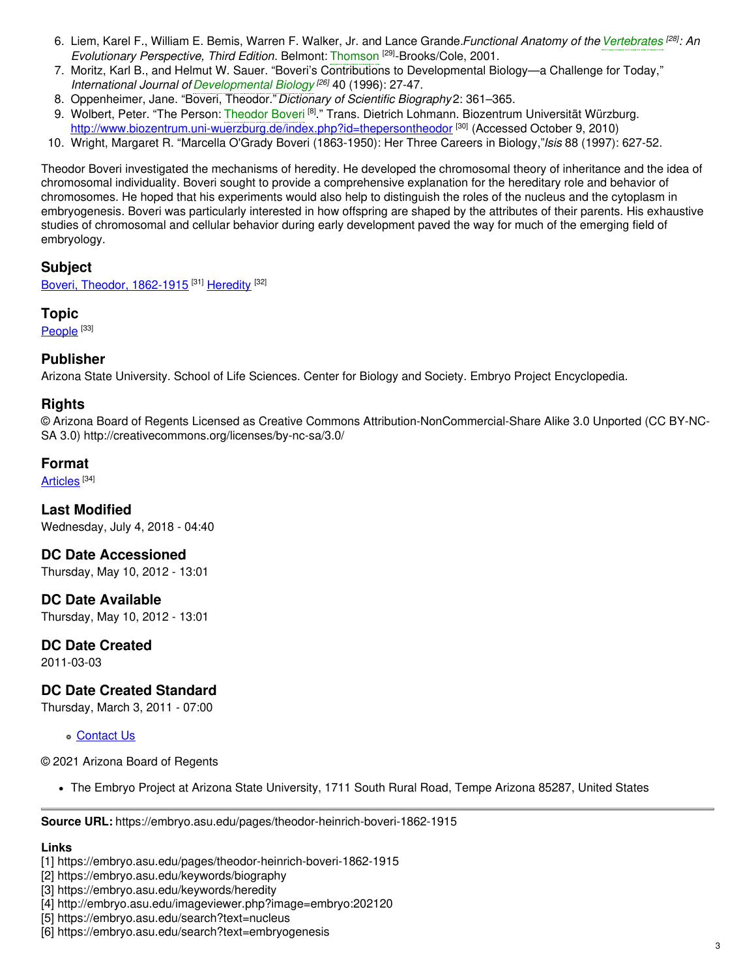- 6. Liem, Karel F., William E. Bemis, Warren F. Walker, Jr. and Lance Grande.*Functional Anatomy of the[Vertebrates](https://embryo.asu.edu/search?text=Vertebrates) [28] : An Evolutionary Perspective, Third Edition*. Belmont: [Thomson](https://embryo.asu.edu/search?text=Thomson) [29]-Brooks/Cole, 2001.
- 7. Moritz, Karl B., and Helmut W. Sauer. "Boveri's Contributions to Developmental Biology—a Challenge for Today," *International Journal of [Developmental](https://embryo.asu.edu/search?text=Developmental%20Biology) Biology [26]* 40 (1996): 27-47.
- 8. Oppenheimer, Jane. "Boveri, Theodor."*Dictionary of Scientific Biography* 2: 361–365.
- 9. Wolbert, Peter. "The Person: [Theodor](https://embryo.asu.edu/search?text=Theodor%20Boveri) Boveri <sup>[8]</sup>." Trans. Dietrich Lohmann. Biozentrum Universität Würzburg. <http://www.biozentrum.uni-wuerzburg.de/index.php?id=thepersontheodor>.<sup>[30]</sup> (Accessed October 9, 2010)
- 10. Wright, Margaret R. "Marcella O'Grady Boveri (1863-1950): Her Three Careers in Biology,"*Isis* 88 (1997): 627-52.

Theodor Boveri investigated the mechanisms of heredity. He developed the chromosomal theory of inheritance and the idea of chromosomal individuality. Boveri sought to provide a comprehensive explanation for the hereditary role and behavior of chromosomes. He hoped that his experiments would also help to distinguish the roles of the nucleus and the cytoplasm in embryogenesis. Boveri was particularly interested in how offspring are shaped by the attributes of their parents. His exhaustive studies of chromosomal and cellular behavior during early development paved the way for much of the emerging field of embryology.

#### **Subject**

Boveri, Theodor, [1862-1915](https://embryo.asu.edu/library-congress-subject-headings/boveri-theodor-1862-1915)<sup>[31]</sup> [Heredity](https://embryo.asu.edu/medical-subject-headings/heredity)<sup>[32]</sup>

#### **Topic**

<u>[People](https://embryo.asu.edu/topics/people)</u> [33]

#### **Publisher**

Arizona State University. School of Life Sciences. Center for Biology and Society. Embryo Project Encyclopedia.

#### **Rights**

© Arizona Board of Regents Licensed as Creative Commons Attribution-NonCommercial-Share Alike 3.0 Unported (CC BY-NC-SA 3.0) http://creativecommons.org/licenses/by-nc-sa/3.0/

#### **Format**

[Articles](https://embryo.asu.edu/formats/articles) <sup>[34]</sup>

**Last Modified** Wednesday, July 4, 2018 - 04:40

**DC Date Accessioned** Thursday, May 10, 2012 - 13:01

**DC Date Available** Thursday, May 10, 2012 - 13:01

**DC Date Created**

2011-03-03

#### **DC Date Created Standard**

Thursday, March 3, 2011 - 07:00

• [Contact](https://embryo.asu.edu/contact) Us

© 2021 Arizona Board of Regents

The Embryo Project at Arizona State University, 1711 South Rural Road, Tempe Arizona 85287, United States

**Source URL:** https://embryo.asu.edu/pages/theodor-heinrich-boveri-1862-1915

### **Links**

[5] https://embryo.asu.edu/search?text=nucleus

<sup>[1]</sup> https://embryo.asu.edu/pages/theodor-heinrich-boveri-1862-1915

<sup>[2]</sup> https://embryo.asu.edu/keywords/biography

<sup>[3]</sup> https://embryo.asu.edu/keywords/heredity

<sup>[4]</sup> http://embryo.asu.edu/imageviewer.php?image=embryo:202120

<sup>[6]</sup> https://embryo.asu.edu/search?text=embryogenesis